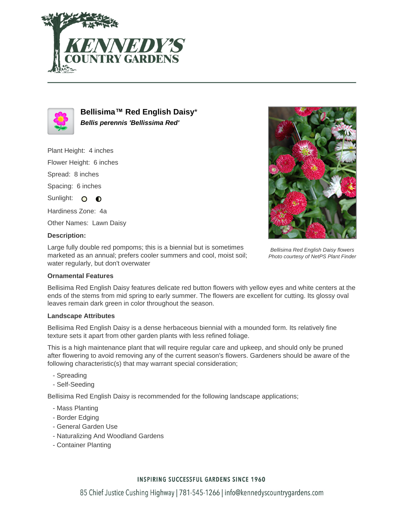



**Bellisima™ Red English Daisy**\* **Bellis perennis 'Bellissima Red'**

Plant Height: 4 inches

Flower Height: 6 inches

Spread: 8 inches

Spacing: 6 inches

Sunlight: O O

Hardiness Zone: 4a

Other Names: Lawn Daisy

# **Description:**

Large fully double red pompoms; this is a biennial but is sometimes marketed as an annual; prefers cooler summers and cool, moist soil; water regularly, but don't overwater



Bellisima Red English Daisy flowers Photo courtesy of NetPS Plant Finder

### **Ornamental Features**

Bellisima Red English Daisy features delicate red button flowers with yellow eyes and white centers at the ends of the stems from mid spring to early summer. The flowers are excellent for cutting. Its glossy oval leaves remain dark green in color throughout the season.

### **Landscape Attributes**

Bellisima Red English Daisy is a dense herbaceous biennial with a mounded form. Its relatively fine texture sets it apart from other garden plants with less refined foliage.

This is a high maintenance plant that will require regular care and upkeep, and should only be pruned after flowering to avoid removing any of the current season's flowers. Gardeners should be aware of the following characteristic(s) that may warrant special consideration;

- Spreading
- Self-Seeding

Bellisima Red English Daisy is recommended for the following landscape applications;

- Mass Planting
- Border Edging
- General Garden Use
- Naturalizing And Woodland Gardens
- Container Planting

# **INSPIRING SUCCESSFUL GARDENS SINCE 1960**

85 Chief Justice Cushing Highway | 781-545-1266 | info@kennedyscountrygardens.com